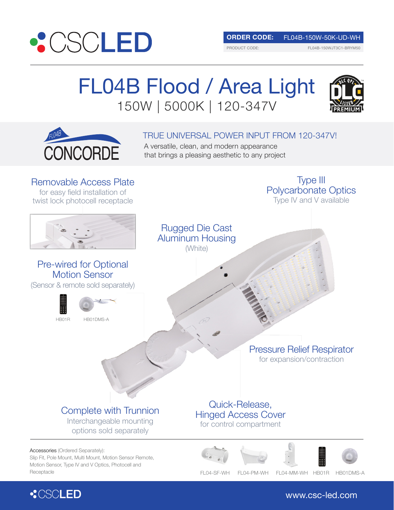

**ORDER CODE:** FL04B-150W-50K-UD-WH

PRODUCT CODE:

FL04B-150WJT3C1-BRYM50

# FL04B Flood / Area Light 150W | 5000K | 120-347V



### TRUE UNIVERSAL POWER INPUT FROM 120-347V!

A versatile, clean, and modern appearance that brings a pleasing aesthetic to any project

Removable Access Plate for easy field installation of twist lock photocell receptacle

### Pre-wired for Optional Motion Sensor

(Sensor & remote sold separately)





Pressure Relief Respirator for expansion/contraction

Type Ⅲ Polycarbonate Optics Type IV and V available

## Complete with Trunnion

Interchangeable mounting options sold separately

### Accessories (Ordered Separately):

Slip Fit, Pole Mount, Multi Mount, Motion Sensor Remote, Motion Sensor, Type IV and V Optics, Photocell and Receptacle FL04-SF-WH FL04-PM-WH FL04-MM-WH HB01R HB01DMS-A

Quick-Release, Hinged Access Cover for control compartment





www.csc-led.com